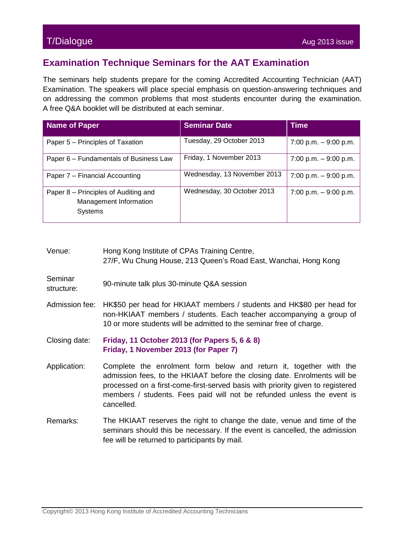## T/Dialogue Aug 2013 issue

## **Examination Technique Seminars for the AAT Examination**

The seminars help students prepare for the coming Accredited Accounting Technician (AAT) Examination. The speakers will place special emphasis on question-answering techniques and on addressing the common problems that most students encounter during the examination. A free Q&A booklet will be distributed at each seminar.

| <b>Name of Paper</b>                                                      | <b>Seminar Date</b>         | <b>Time</b>            |
|---------------------------------------------------------------------------|-----------------------------|------------------------|
| Paper 5 - Principles of Taxation                                          | Tuesday, 29 October 2013    | 7:00 p.m. $-9:00$ p.m. |
| Paper 6 – Fundamentals of Business Law                                    | Friday, 1 November 2013     | 7:00 p.m. $-9:00$ p.m. |
| Paper 7 – Financial Accounting                                            | Wednesday, 13 November 2013 | 7:00 p.m. $-9:00$ p.m. |
| Paper 8 – Principles of Auditing and<br>Management Information<br>Systems | Wednesday, 30 October 2013  | 7:00 p.m. $-9:00$ p.m. |

| Venue: | Hong Kong Institute of CPAs Training Centre,                    |
|--------|-----------------------------------------------------------------|
|        | 27/F, Wu Chung House, 213 Queen's Road East, Wanchai, Hong Kong |

- **Seminar** structure: 90-minute talk plus 30-minute Q&A session
- Admission fee: HK\$50 per head for HKIAAT members / students and HK\$80 per head for non-HKIAAT members / students. Each teacher accompanying a group of 10 or more students will be admitted to the seminar free of charge.
- Closing date: **Friday, 11 October 2013 (for Papers 5, 6 & 8) Friday, 1 November 2013 (for Paper 7)**
- Application: Complete the enrolment form below and return it, together with the admission fees, to the HKIAAT before the closing date. Enrolments will be processed on a first-come-first-served basis with priority given to registered members / students. Fees paid will not be refunded unless the event is cancelled.
- Remarks: The HKIAAT reserves the right to change the date, venue and time of the seminars should this be necessary. If the event is cancelled, the admission fee will be returned to participants by mail.